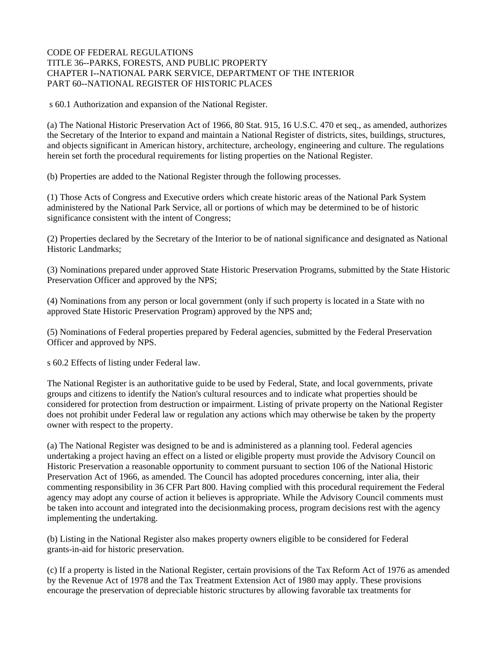### CODE OF FEDERAL REGULATIONS TITLE 36--PARKS, FORESTS, AND PUBLIC PROPERTY CHAPTER I--NATIONAL PARK SERVICE, DEPARTMENT OF THE INTERIOR PART 60--NATIONAL REGISTER OF HISTORIC PLACES

s 60.1 Authorization and expansion of the National Register.

(a) The National Historic Preservation Act of 1966, 80 Stat. 915, 16 U.S.C. 470 et seq., as amended, authorizes the Secretary of the Interior to expand and maintain a National Register of districts, sites, buildings, structures, and objects significant in American history, architecture, archeology, engineering and culture. The regulations herein set forth the procedural requirements for listing properties on the National Register.

(b) Properties are added to the National Register through the following processes.

(1) Those Acts of Congress and Executive orders which create historic areas of the National Park System administered by the National Park Service, all or portions of which may be determined to be of historic significance consistent with the intent of Congress;

(2) Properties declared by the Secretary of the Interior to be of national significance and designated as National Historic Landmarks;

(3) Nominations prepared under approved State Historic Preservation Programs, submitted by the State Historic Preservation Officer and approved by the NPS;

(4) Nominations from any person or local government (only if such property is located in a State with no approved State Historic Preservation Program) approved by the NPS and;

(5) Nominations of Federal properties prepared by Federal agencies, submitted by the Federal Preservation Officer and approved by NPS.

s 60.2 Effects of listing under Federal law.

The National Register is an authoritative guide to be used by Federal, State, and local governments, private groups and citizens to identify the Nation's cultural resources and to indicate what properties should be considered for protection from destruction or impairment. Listing of private property on the National Register does not prohibit under Federal law or regulation any actions which may otherwise be taken by the property owner with respect to the property.

(a) The National Register was designed to be and is administered as a planning tool. Federal agencies undertaking a project having an effect on a listed or eligible property must provide the Advisory Council on Historic Preservation a reasonable opportunity to comment pursuant to section 106 of the National Historic Preservation Act of 1966, as amended. The Council has adopted procedures concerning, inter alia, their commenting responsibility in 36 CFR Part 800. Having complied with this procedural requirement the Federal agency may adopt any course of action it believes is appropriate. While the Advisory Council comments must be taken into account and integrated into the decisionmaking process, program decisions rest with the agency implementing the undertaking.

(b) Listing in the National Register also makes property owners eligible to be considered for Federal grants-in-aid for historic preservation.

(c) If a property is listed in the National Register, certain provisions of the Tax Reform Act of 1976 as amended by the Revenue Act of 1978 and the Tax Treatment Extension Act of 1980 may apply. These provisions encourage the preservation of depreciable historic structures by allowing favorable tax treatments for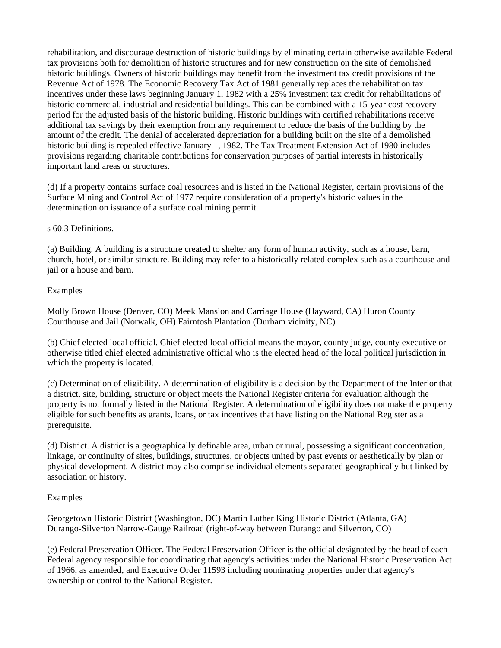rehabilitation, and discourage destruction of historic buildings by eliminating certain otherwise available Federal tax provisions both for demolition of historic structures and for new construction on the site of demolished historic buildings. Owners of historic buildings may benefit from the investment tax credit provisions of the Revenue Act of 1978. The Economic Recovery Tax Act of 1981 generally replaces the rehabilitation tax incentives under these laws beginning January 1, 1982 with a 25% investment tax credit for rehabilitations of historic commercial, industrial and residential buildings. This can be combined with a 15-year cost recovery period for the adjusted basis of the historic building. Historic buildings with certified rehabilitations receive additional tax savings by their exemption from any requirement to reduce the basis of the building by the amount of the credit. The denial of accelerated depreciation for a building built on the site of a demolished historic building is repealed effective January 1, 1982. The Tax Treatment Extension Act of 1980 includes provisions regarding charitable contributions for conservation purposes of partial interests in historically important land areas or structures.

(d) If a property contains surface coal resources and is listed in the National Register, certain provisions of the Surface Mining and Control Act of 1977 require consideration of a property's historic values in the determination on issuance of a surface coal mining permit.

s 60.3 Definitions.

(a) Building. A building is a structure created to shelter any form of human activity, such as a house, barn, church, hotel, or similar structure. Building may refer to a historically related complex such as a courthouse and jail or a house and barn.

### Examples

Molly Brown House (Denver, CO) Meek Mansion and Carriage House (Hayward, CA) Huron County Courthouse and Jail (Norwalk, OH) Fairntosh Plantation (Durham vicinity, NC)

(b) Chief elected local official. Chief elected local official means the mayor, county judge, county executive or otherwise titled chief elected administrative official who is the elected head of the local political jurisdiction in which the property is located.

(c) Determination of eligibility. A determination of eligibility is a decision by the Department of the Interior that a district, site, building, structure or object meets the National Register criteria for evaluation although the property is not formally listed in the National Register. A determination of eligibility does not make the property eligible for such benefits as grants, loans, or tax incentives that have listing on the National Register as a prerequisite.

(d) District. A district is a geographically definable area, urban or rural, possessing a significant concentration, linkage, or continuity of sites, buildings, structures, or objects united by past events or aesthetically by plan or physical development. A district may also comprise individual elements separated geographically but linked by association or history.

### Examples

Georgetown Historic District (Washington, DC) Martin Luther King Historic District (Atlanta, GA) Durango-Silverton Narrow-Gauge Railroad (right-of-way between Durango and Silverton, CO)

(e) Federal Preservation Officer. The Federal Preservation Officer is the official designated by the head of each Federal agency responsible for coordinating that agency's activities under the National Historic Preservation Act of 1966, as amended, and Executive Order 11593 including nominating properties under that agency's ownership or control to the National Register.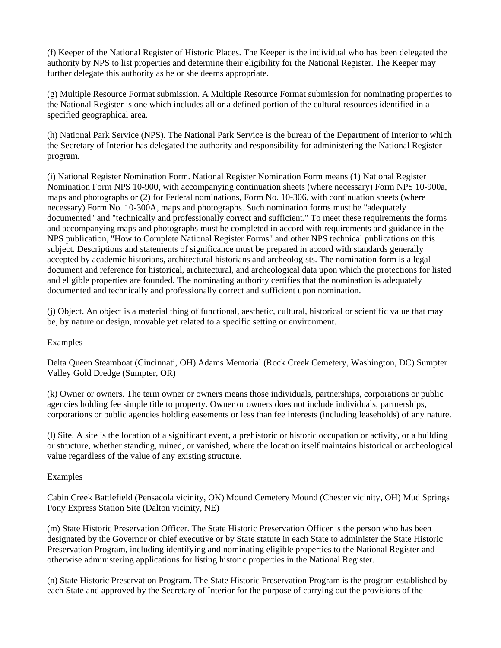(f) Keeper of the National Register of Historic Places. The Keeper is the individual who has been delegated the authority by NPS to list properties and determine their eligibility for the National Register. The Keeper may further delegate this authority as he or she deems appropriate.

(g) Multiple Resource Format submission. A Multiple Resource Format submission for nominating properties to the National Register is one which includes all or a defined portion of the cultural resources identified in a specified geographical area.

(h) National Park Service (NPS). The National Park Service is the bureau of the Department of Interior to which the Secretary of Interior has delegated the authority and responsibility for administering the National Register program.

(i) National Register Nomination Form. National Register Nomination Form means (1) National Register Nomination Form NPS 10-900, with accompanying continuation sheets (where necessary) Form NPS 10-900a, maps and photographs or (2) for Federal nominations, Form No. 10-306, with continuation sheets (where necessary) Form No. 10-300A, maps and photographs. Such nomination forms must be "adequately documented" and "technically and professionally correct and sufficient." To meet these requirements the forms and accompanying maps and photographs must be completed in accord with requirements and guidance in the NPS publication, "How to Complete National Register Forms" and other NPS technical publications on this subject. Descriptions and statements of significance must be prepared in accord with standards generally accepted by academic historians, architectural historians and archeologists. The nomination form is a legal document and reference for historical, architectural, and archeological data upon which the protections for listed and eligible properties are founded. The nominating authority certifies that the nomination is adequately documented and technically and professionally correct and sufficient upon nomination.

(j) Object. An object is a material thing of functional, aesthetic, cultural, historical or scientific value that may be, by nature or design, movable yet related to a specific setting or environment.

Examples

Delta Queen Steamboat (Cincinnati, OH) Adams Memorial (Rock Creek Cemetery, Washington, DC) Sumpter Valley Gold Dredge (Sumpter, OR)

(k) Owner or owners. The term owner or owners means those individuals, partnerships, corporations or public agencies holding fee simple title to property. Owner or owners does not include individuals, partnerships, corporations or public agencies holding easements or less than fee interests (including leaseholds) of any nature.

(l) Site. A site is the location of a significant event, a prehistoric or historic occupation or activity, or a building or structure, whether standing, ruined, or vanished, where the location itself maintains historical or archeological value regardless of the value of any existing structure.

# Examples

Cabin Creek Battlefield (Pensacola vicinity, OK) Mound Cemetery Mound (Chester vicinity, OH) Mud Springs Pony Express Station Site (Dalton vicinity, NE)

(m) State Historic Preservation Officer. The State Historic Preservation Officer is the person who has been designated by the Governor or chief executive or by State statute in each State to administer the State Historic Preservation Program, including identifying and nominating eligible properties to the National Register and otherwise administering applications for listing historic properties in the National Register.

(n) State Historic Preservation Program. The State Historic Preservation Program is the program established by each State and approved by the Secretary of Interior for the purpose of carrying out the provisions of the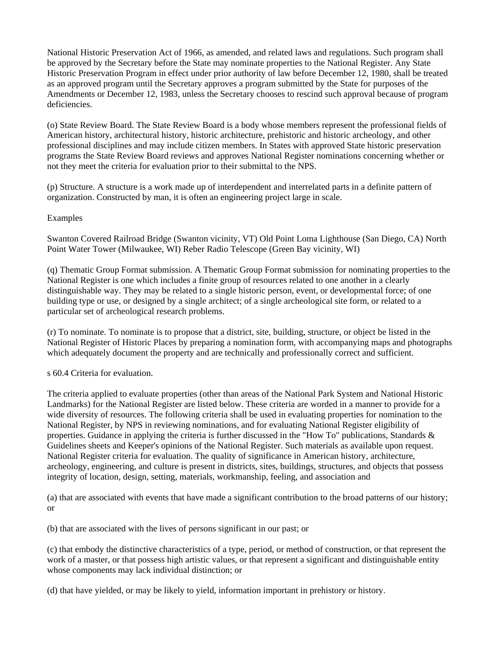National Historic Preservation Act of 1966, as amended, and related laws and regulations. Such program shall be approved by the Secretary before the State may nominate properties to the National Register. Any State Historic Preservation Program in effect under prior authority of law before December 12, 1980, shall be treated as an approved program until the Secretary approves a program submitted by the State for purposes of the Amendments or December 12, 1983, unless the Secretary chooses to rescind such approval because of program deficiencies.

(o) State Review Board. The State Review Board is a body whose members represent the professional fields of American history, architectural history, historic architecture, prehistoric and historic archeology, and other professional disciplines and may include citizen members. In States with approved State historic preservation programs the State Review Board reviews and approves National Register nominations concerning whether or not they meet the criteria for evaluation prior to their submittal to the NPS.

(p) Structure. A structure is a work made up of interdependent and interrelated parts in a definite pattern of organization. Constructed by man, it is often an engineering project large in scale.

Examples

Swanton Covered Railroad Bridge (Swanton vicinity, VT) Old Point Loma Lighthouse (San Diego, CA) North Point Water Tower (Milwaukee, WI) Reber Radio Telescope (Green Bay vicinity, WI)

(q) Thematic Group Format submission. A Thematic Group Format submission for nominating properties to the National Register is one which includes a finite group of resources related to one another in a clearly distinguishable way. They may be related to a single historic person, event, or developmental force; of one building type or use, or designed by a single architect; of a single archeological site form, or related to a particular set of archeological research problems.

(r) To nominate. To nominate is to propose that a district, site, building, structure, or object be listed in the National Register of Historic Places by preparing a nomination form, with accompanying maps and photographs which adequately document the property and are technically and professionally correct and sufficient.

s 60.4 Criteria for evaluation.

The criteria applied to evaluate properties (other than areas of the National Park System and National Historic Landmarks) for the National Register are listed below. These criteria are worded in a manner to provide for a wide diversity of resources. The following criteria shall be used in evaluating properties for nomination to the National Register, by NPS in reviewing nominations, and for evaluating National Register eligibility of properties. Guidance in applying the criteria is further discussed in the "How To" publications, Standards & Guidelines sheets and Keeper's opinions of the National Register. Such materials as available upon request. National Register criteria for evaluation. The quality of significance in American history, architecture, archeology, engineering, and culture is present in districts, sites, buildings, structures, and objects that possess integrity of location, design, setting, materials, workmanship, feeling, and association and

(a) that are associated with events that have made a significant contribution to the broad patterns of our history; or

(b) that are associated with the lives of persons significant in our past; or

(c) that embody the distinctive characteristics of a type, period, or method of construction, or that represent the work of a master, or that possess high artistic values, or that represent a significant and distinguishable entity whose components may lack individual distinction; or

(d) that have yielded, or may be likely to yield, information important in prehistory or history.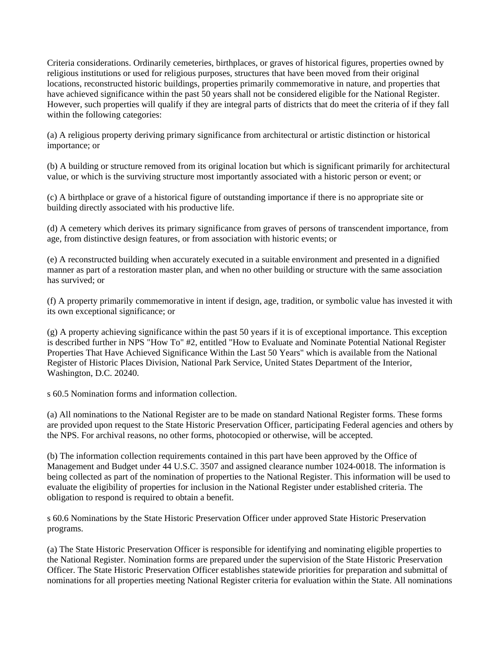Criteria considerations. Ordinarily cemeteries, birthplaces, or graves of historical figures, properties owned by religious institutions or used for religious purposes, structures that have been moved from their original locations, reconstructed historic buildings, properties primarily commemorative in nature, and properties that have achieved significance within the past 50 years shall not be considered eligible for the National Register. However, such properties will qualify if they are integral parts of districts that do meet the criteria of if they fall within the following categories:

(a) A religious property deriving primary significance from architectural or artistic distinction or historical importance; or

(b) A building or structure removed from its original location but which is significant primarily for architectural value, or which is the surviving structure most importantly associated with a historic person or event; or

(c) A birthplace or grave of a historical figure of outstanding importance if there is no appropriate site or building directly associated with his productive life.

(d) A cemetery which derives its primary significance from graves of persons of transcendent importance, from age, from distinctive design features, or from association with historic events; or

(e) A reconstructed building when accurately executed in a suitable environment and presented in a dignified manner as part of a restoration master plan, and when no other building or structure with the same association has survived; or

(f) A property primarily commemorative in intent if design, age, tradition, or symbolic value has invested it with its own exceptional significance; or

(g) A property achieving significance within the past 50 years if it is of exceptional importance. This exception is described further in NPS "How To" #2, entitled "How to Evaluate and Nominate Potential National Register Properties That Have Achieved Significance Within the Last 50 Years" which is available from the National Register of Historic Places Division, National Park Service, United States Department of the Interior, Washington, D.C. 20240.

s 60.5 Nomination forms and information collection.

(a) All nominations to the National Register are to be made on standard National Register forms. These forms are provided upon request to the State Historic Preservation Officer, participating Federal agencies and others by the NPS. For archival reasons, no other forms, photocopied or otherwise, will be accepted.

(b) The information collection requirements contained in this part have been approved by the Office of Management and Budget under 44 U.S.C. 3507 and assigned clearance number 1024-0018. The information is being collected as part of the nomination of properties to the National Register. This information will be used to evaluate the eligibility of properties for inclusion in the National Register under established criteria. The obligation to respond is required to obtain a benefit.

s 60.6 Nominations by the State Historic Preservation Officer under approved State Historic Preservation programs.

(a) The State Historic Preservation Officer is responsible for identifying and nominating eligible properties to the National Register. Nomination forms are prepared under the supervision of the State Historic Preservation Officer. The State Historic Preservation Officer establishes statewide priorities for preparation and submittal of nominations for all properties meeting National Register criteria for evaluation within the State. All nominations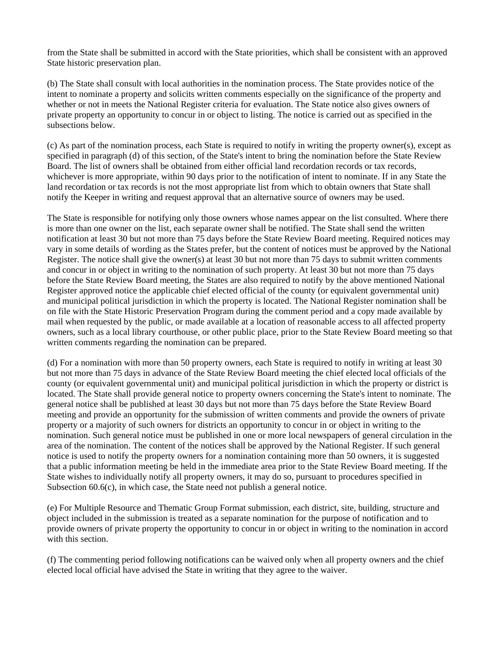from the State shall be submitted in accord with the State priorities, which shall be consistent with an approved State historic preservation plan.

(b) The State shall consult with local authorities in the nomination process. The State provides notice of the intent to nominate a property and solicits written comments especially on the significance of the property and whether or not in meets the National Register criteria for evaluation. The State notice also gives owners of private property an opportunity to concur in or object to listing. The notice is carried out as specified in the subsections below.

(c) As part of the nomination process, each State is required to notify in writing the property owner(s), except as specified in paragraph (d) of this section, of the State's intent to bring the nomination before the State Review Board. The list of owners shall be obtained from either official land recordation records or tax records, whichever is more appropriate, within 90 days prior to the notification of intent to nominate. If in any State the land recordation or tax records is not the most appropriate list from which to obtain owners that State shall notify the Keeper in writing and request approval that an alternative source of owners may be used.

The State is responsible for notifying only those owners whose names appear on the list consulted. Where there is more than one owner on the list, each separate owner shall be notified. The State shall send the written notification at least 30 but not more than 75 days before the State Review Board meeting. Required notices may vary in some details of wording as the States prefer, but the content of notices must be approved by the National Register. The notice shall give the owner(s) at least 30 but not more than 75 days to submit written comments and concur in or object in writing to the nomination of such property. At least 30 but not more than 75 days before the State Review Board meeting, the States are also required to notify by the above mentioned National Register approved notice the applicable chief elected official of the county (or equivalent governmental unit) and municipal political jurisdiction in which the property is located. The National Register nomination shall be on file with the State Historic Preservation Program during the comment period and a copy made available by mail when requested by the public, or made available at a location of reasonable access to all affected property owners, such as a local library courthouse, or other public place, prior to the State Review Board meeting so that written comments regarding the nomination can be prepared.

(d) For a nomination with more than 50 property owners, each State is required to notify in writing at least 30 but not more than 75 days in advance of the State Review Board meeting the chief elected local officials of the county (or equivalent governmental unit) and municipal political jurisdiction in which the property or district is located. The State shall provide general notice to property owners concerning the State's intent to nominate. The general notice shall be published at least 30 days but not more than 75 days before the State Review Board meeting and provide an opportunity for the submission of written comments and provide the owners of private property or a majority of such owners for districts an opportunity to concur in or object in writing to the nomination. Such general notice must be published in one or more local newspapers of general circulation in the area of the nomination. The content of the notices shall be approved by the National Register. If such general notice is used to notify the property owners for a nomination containing more than 50 owners, it is suggested that a public information meeting be held in the immediate area prior to the State Review Board meeting. If the State wishes to individually notify all property owners, it may do so, pursuant to procedures specified in Subsection 60.6(c), in which case, the State need not publish a general notice.

(e) For Multiple Resource and Thematic Group Format submission, each district, site, building, structure and object included in the submission is treated as a separate nomination for the purpose of notification and to provide owners of private property the opportunity to concur in or object in writing to the nomination in accord with this section.

(f) The commenting period following notifications can be waived only when all property owners and the chief elected local official have advised the State in writing that they agree to the waiver.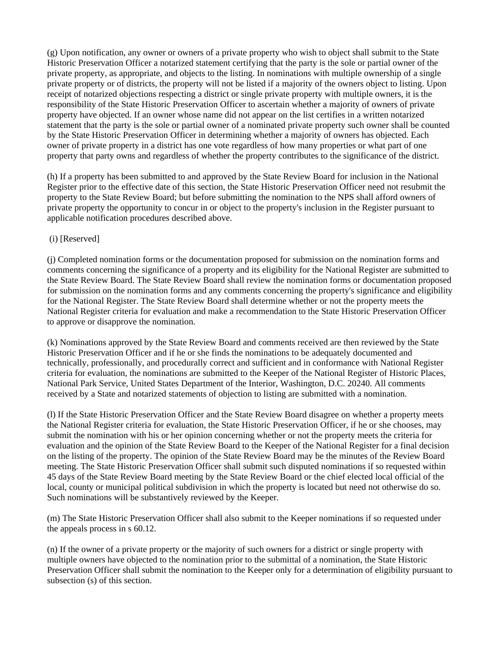(g) Upon notification, any owner or owners of a private property who wish to object shall submit to the State Historic Preservation Officer a notarized statement certifying that the party is the sole or partial owner of the private property, as appropriate, and objects to the listing. In nominations with multiple ownership of a single private property or of districts, the property will not be listed if a majority of the owners object to listing. Upon receipt of notarized objections respecting a district or single private property with multiple owners, it is the responsibility of the State Historic Preservation Officer to ascertain whether a majority of owners of private property have objected. If an owner whose name did not appear on the list certifies in a written notarized statement that the party is the sole or partial owner of a nominated private property such owner shall be counted by the State Historic Preservation Officer in determining whether a majority of owners has objected. Each owner of private property in a district has one vote regardless of how many properties or what part of one property that party owns and regardless of whether the property contributes to the significance of the district.

(h) If a property has been submitted to and approved by the State Review Board for inclusion in the National Register prior to the effective date of this section, the State Historic Preservation Officer need not resubmit the property to the State Review Board; but before submitting the nomination to the NPS shall afford owners of private property the opportunity to concur in or object to the property's inclusion in the Register pursuant to applicable notification procedures described above.

## (i) [Reserved]

(j) Completed nomination forms or the documentation proposed for submission on the nomination forms and comments concerning the significance of a property and its eligibility for the National Register are submitted to the State Review Board. The State Review Board shall review the nomination forms or documentation proposed for submission on the nomination forms and any comments concerning the property's significance and eligibility for the National Register. The State Review Board shall determine whether or not the property meets the National Register criteria for evaluation and make a recommendation to the State Historic Preservation Officer to approve or disapprove the nomination.

(k) Nominations approved by the State Review Board and comments received are then reviewed by the State Historic Preservation Officer and if he or she finds the nominations to be adequately documented and technically, professionally, and procedurally correct and sufficient and in conformance with National Register criteria for evaluation, the nominations are submitted to the Keeper of the National Register of Historic Places, National Park Service, United States Department of the Interior, Washington, D.C. 20240. All comments received by a State and notarized statements of objection to listing are submitted with a nomination.

(l) If the State Historic Preservation Officer and the State Review Board disagree on whether a property meets the National Register criteria for evaluation, the State Historic Preservation Officer, if he or she chooses, may submit the nomination with his or her opinion concerning whether or not the property meets the criteria for evaluation and the opinion of the State Review Board to the Keeper of the National Register for a final decision on the listing of the property. The opinion of the State Review Board may be the minutes of the Review Board meeting. The State Historic Preservation Officer shall submit such disputed nominations if so requested within 45 days of the State Review Board meeting by the State Review Board or the chief elected local official of the local, county or municipal political subdivision in which the property is located but need not otherwise do so. Such nominations will be substantively reviewed by the Keeper.

(m) The State Historic Preservation Officer shall also submit to the Keeper nominations if so requested under the appeals process in s 60.12.

(n) If the owner of a private property or the majority of such owners for a district or single property with multiple owners have objected to the nomination prior to the submittal of a nomination, the State Historic Preservation Officer shall submit the nomination to the Keeper only for a determination of eligibility pursuant to subsection (s) of this section.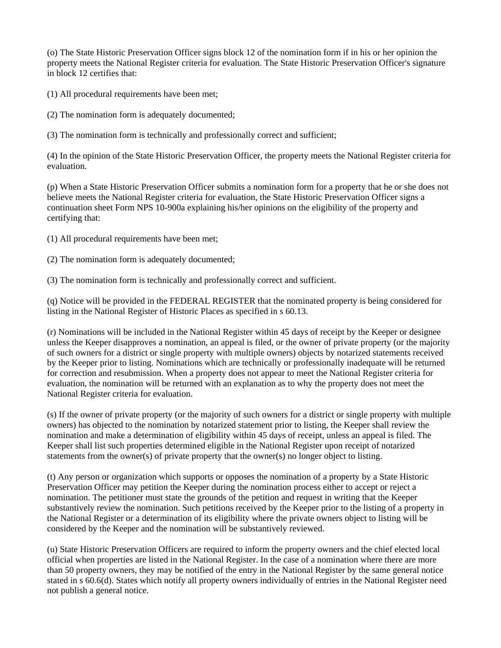(o) The State Historic Preservation Officer signs block 12 of the nomination form if in his or her opinion the property meets the National Register criteria for evaluation. The State Historic Preservation Officer's signature in block 12 certifies that:

(1) All procedural requirements have been met;

(2) The nomination form is adequately documented;

(3) The nomination form is technically and professionally correct and sufficient;

(4) In the opinion of the State Historic Preservation Officer, the property meets the National Register criteria for evaluation.

(p) When a State Historic Preservation Officer submits a nomination form for a property that he or she does not believe meets the National Register criteria for evaluation, the State Historic Preservation Officer signs a continuation sheet Form NPS 10-900a explaining his/her opinions on the eligibility of the property and certifying that:

(1) All procedural requirements have been met;

(2) The nomination form is adequately documented;

(3) The nomination form is technically and professionally correct and sufficient.

(q) Notice will be provided in the FEDERAL REGISTER that the nominated property is being considered for listing in the National Register of Historic Places as specified in s 60.13.

(r) Nominations will be included in the National Register within 45 days of receipt by the Keeper or designee unless the Keeper disapproves a nomination, an appeal is filed, or the owner of private property (or the majority of such owners for a district or single property with multiple owners) objects by notarized statements received by the Keeper prior to listing. Nominations which are technically or professionally inadequate will be returned for correction and resubmission. When a property does not appear to meet the National Register criteria for evaluation, the nomination will be returned with an explanation as to why the property does not meet the National Register criteria for evaluation.

(s) If the owner of private property (or the majority of such owners for a district or single property with multiple owners) has objected to the nomination by notarized statement prior to listing, the Keeper shall review the nomination and make a determination of eligibility within 45 days of receipt, unless an appeal is filed. The Keeper shall list such properties determined eligible in the National Register upon receipt of notarized statements from the owner(s) of private property that the owner(s) no longer object to listing.

(t) Any person or organization which supports or opposes the nomination of a property by a State Historic Preservation Officer may petition the Keeper during the nomination process either to accept or reject a nomination. The petitioner must state the grounds of the petition and request in writing that the Keeper substantively review the nomination. Such petitions received by the Keeper prior to the listing of a property in the National Register or a determination of its eligibility where the private owners object to listing will be considered by the Keeper and the nomination will be substantively reviewed.

(u) State Historic Preservation Officers are required to inform the property owners and the chief elected local official when properties are listed in the National Register. In the case of a nomination where there are more than 50 property owners, they may be notified of the entry in the National Register by the same general notice stated in s 60.6(d). States which notify all property owners individually of entries in the National Register need not publish a general notice.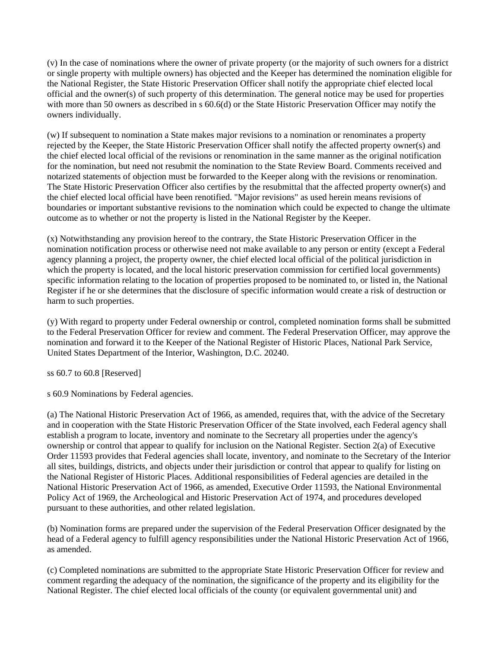(v) In the case of nominations where the owner of private property (or the majority of such owners for a district or single property with multiple owners) has objected and the Keeper has determined the nomination eligible for the National Register, the State Historic Preservation Officer shall notify the appropriate chief elected local official and the owner(s) of such property of this determination. The general notice may be used for properties with more than 50 owners as described in s  $60.6(d)$  or the State Historic Preservation Officer may notify the owners individually.

(w) If subsequent to nomination a State makes major revisions to a nomination or renominates a property rejected by the Keeper, the State Historic Preservation Officer shall notify the affected property owner(s) and the chief elected local official of the revisions or renomination in the same manner as the original notification for the nomination, but need not resubmit the nomination to the State Review Board. Comments received and notarized statements of objection must be forwarded to the Keeper along with the revisions or renomination. The State Historic Preservation Officer also certifies by the resubmittal that the affected property owner(s) and the chief elected local official have been renotified. "Major revisions" as used herein means revisions of boundaries or important substantive revisions to the nomination which could be expected to change the ultimate outcome as to whether or not the property is listed in the National Register by the Keeper.

(x) Notwithstanding any provision hereof to the contrary, the State Historic Preservation Officer in the nomination notification process or otherwise need not make available to any person or entity (except a Federal agency planning a project, the property owner, the chief elected local official of the political jurisdiction in which the property is located, and the local historic preservation commission for certified local governments) specific information relating to the location of properties proposed to be nominated to, or listed in, the National Register if he or she determines that the disclosure of specific information would create a risk of destruction or harm to such properties.

(y) With regard to property under Federal ownership or control, completed nomination forms shall be submitted to the Federal Preservation Officer for review and comment. The Federal Preservation Officer, may approve the nomination and forward it to the Keeper of the National Register of Historic Places, National Park Service, United States Department of the Interior, Washington, D.C. 20240.

ss 60.7 to 60.8 [Reserved]

s 60.9 Nominations by Federal agencies.

(a) The National Historic Preservation Act of 1966, as amended, requires that, with the advice of the Secretary and in cooperation with the State Historic Preservation Officer of the State involved, each Federal agency shall establish a program to locate, inventory and nominate to the Secretary all properties under the agency's ownership or control that appear to qualify for inclusion on the National Register. Section 2(a) of Executive Order 11593 provides that Federal agencies shall locate, inventory, and nominate to the Secretary of the Interior all sites, buildings, districts, and objects under their jurisdiction or control that appear to qualify for listing on the National Register of Historic Places. Additional responsibilities of Federal agencies are detailed in the National Historic Preservation Act of 1966, as amended, Executive Order 11593, the National Environmental Policy Act of 1969, the Archeological and Historic Preservation Act of 1974, and procedures developed pursuant to these authorities, and other related legislation.

(b) Nomination forms are prepared under the supervision of the Federal Preservation Officer designated by the head of a Federal agency to fulfill agency responsibilities under the National Historic Preservation Act of 1966, as amended.

(c) Completed nominations are submitted to the appropriate State Historic Preservation Officer for review and comment regarding the adequacy of the nomination, the significance of the property and its eligibility for the National Register. The chief elected local officials of the county (or equivalent governmental unit) and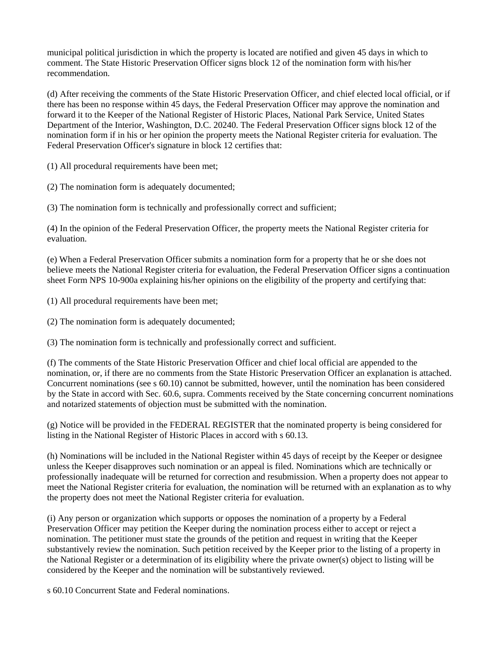municipal political jurisdiction in which the property is located are notified and given 45 days in which to comment. The State Historic Preservation Officer signs block 12 of the nomination form with his/her recommendation.

(d) After receiving the comments of the State Historic Preservation Officer, and chief elected local official, or if there has been no response within 45 days, the Federal Preservation Officer may approve the nomination and forward it to the Keeper of the National Register of Historic Places, National Park Service, United States Department of the Interior, Washington, D.C. 20240. The Federal Preservation Officer signs block 12 of the nomination form if in his or her opinion the property meets the National Register criteria for evaluation. The Federal Preservation Officer's signature in block 12 certifies that:

(1) All procedural requirements have been met;

(2) The nomination form is adequately documented;

(3) The nomination form is technically and professionally correct and sufficient;

(4) In the opinion of the Federal Preservation Officer, the property meets the National Register criteria for evaluation.

(e) When a Federal Preservation Officer submits a nomination form for a property that he or she does not believe meets the National Register criteria for evaluation, the Federal Preservation Officer signs a continuation sheet Form NPS 10-900a explaining his/her opinions on the eligibility of the property and certifying that:

(1) All procedural requirements have been met;

(2) The nomination form is adequately documented;

(3) The nomination form is technically and professionally correct and sufficient.

(f) The comments of the State Historic Preservation Officer and chief local official are appended to the nomination, or, if there are no comments from the State Historic Preservation Officer an explanation is attached. Concurrent nominations (see s 60.10) cannot be submitted, however, until the nomination has been considered by the State in accord with Sec. 60.6, supra. Comments received by the State concerning concurrent nominations and notarized statements of objection must be submitted with the nomination.

(g) Notice will be provided in the FEDERAL REGISTER that the nominated property is being considered for listing in the National Register of Historic Places in accord with s 60.13.

(h) Nominations will be included in the National Register within 45 days of receipt by the Keeper or designee unless the Keeper disapproves such nomination or an appeal is filed. Nominations which are technically or professionally inadequate will be returned for correction and resubmission. When a property does not appear to meet the National Register criteria for evaluation, the nomination will be returned with an explanation as to why the property does not meet the National Register criteria for evaluation.

(i) Any person or organization which supports or opposes the nomination of a property by a Federal Preservation Officer may petition the Keeper during the nomination process either to accept or reject a nomination. The petitioner must state the grounds of the petition and request in writing that the Keeper substantively review the nomination. Such petition received by the Keeper prior to the listing of a property in the National Register or a determination of its eligibility where the private owner(s) object to listing will be considered by the Keeper and the nomination will be substantively reviewed.

s 60.10 Concurrent State and Federal nominations.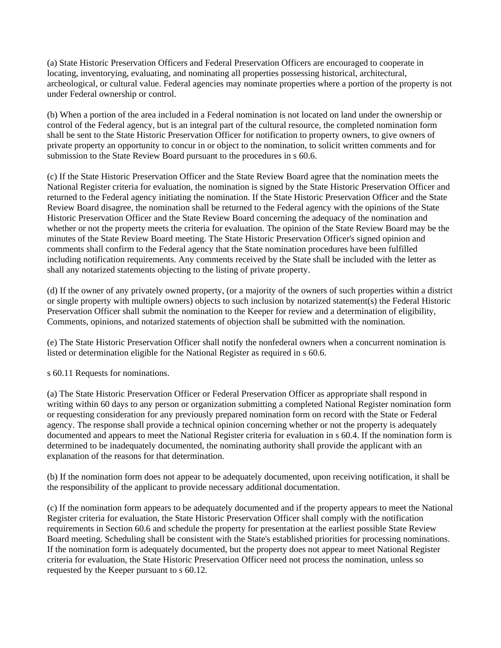(a) State Historic Preservation Officers and Federal Preservation Officers are encouraged to cooperate in locating, inventorying, evaluating, and nominating all properties possessing historical, architectural, archeological, or cultural value. Federal agencies may nominate properties where a portion of the property is not under Federal ownership or control.

(b) When a portion of the area included in a Federal nomination is not located on land under the ownership or control of the Federal agency, but is an integral part of the cultural resource, the completed nomination form shall be sent to the State Historic Preservation Officer for notification to property owners, to give owners of private property an opportunity to concur in or object to the nomination, to solicit written comments and for submission to the State Review Board pursuant to the procedures in s 60.6.

(c) If the State Historic Preservation Officer and the State Review Board agree that the nomination meets the National Register criteria for evaluation, the nomination is signed by the State Historic Preservation Officer and returned to the Federal agency initiating the nomination. If the State Historic Preservation Officer and the State Review Board disagree, the nomination shall be returned to the Federal agency with the opinions of the State Historic Preservation Officer and the State Review Board concerning the adequacy of the nomination and whether or not the property meets the criteria for evaluation. The opinion of the State Review Board may be the minutes of the State Review Board meeting. The State Historic Preservation Officer's signed opinion and comments shall confirm to the Federal agency that the State nomination procedures have been fulfilled including notification requirements. Any comments received by the State shall be included with the letter as shall any notarized statements objecting to the listing of private property.

(d) If the owner of any privately owned property, (or a majority of the owners of such properties within a district or single property with multiple owners) objects to such inclusion by notarized statement(s) the Federal Historic Preservation Officer shall submit the nomination to the Keeper for review and a determination of eligibility, Comments, opinions, and notarized statements of objection shall be submitted with the nomination.

(e) The State Historic Preservation Officer shall notify the nonfederal owners when a concurrent nomination is listed or determination eligible for the National Register as required in s 60.6.

s 60.11 Requests for nominations.

(a) The State Historic Preservation Officer or Federal Preservation Officer as appropriate shall respond in writing within 60 days to any person or organization submitting a completed National Register nomination form or requesting consideration for any previously prepared nomination form on record with the State or Federal agency. The response shall provide a technical opinion concerning whether or not the property is adequately documented and appears to meet the National Register criteria for evaluation in s 60.4. If the nomination form is determined to be inadequately documented, the nominating authority shall provide the applicant with an explanation of the reasons for that determination.

(b) If the nomination form does not appear to be adequately documented, upon receiving notification, it shall be the responsibility of the applicant to provide necessary additional documentation.

(c) If the nomination form appears to be adequately documented and if the property appears to meet the National Register criteria for evaluation, the State Historic Preservation Officer shall comply with the notification requirements in Section 60.6 and schedule the property for presentation at the earliest possible State Review Board meeting. Scheduling shall be consistent with the State's established priorities for processing nominations. If the nomination form is adequately documented, but the property does not appear to meet National Register criteria for evaluation, the State Historic Preservation Officer need not process the nomination, unless so requested by the Keeper pursuant to s 60.12.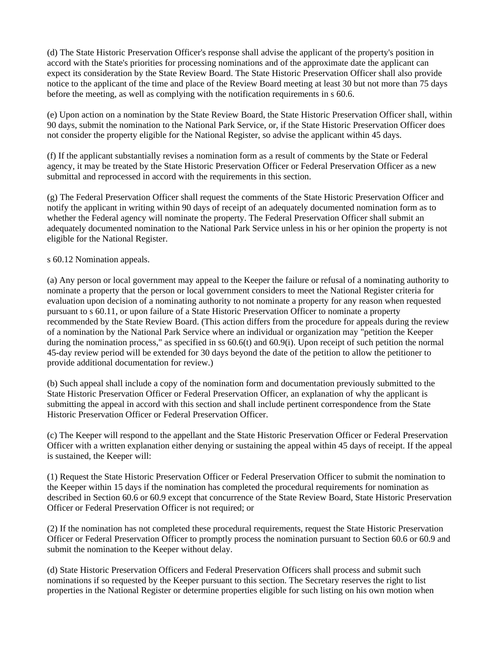(d) The State Historic Preservation Officer's response shall advise the applicant of the property's position in accord with the State's priorities for processing nominations and of the approximate date the applicant can expect its consideration by the State Review Board. The State Historic Preservation Officer shall also provide notice to the applicant of the time and place of the Review Board meeting at least 30 but not more than 75 days before the meeting, as well as complying with the notification requirements in s 60.6.

(e) Upon action on a nomination by the State Review Board, the State Historic Preservation Officer shall, within 90 days, submit the nomination to the National Park Service, or, if the State Historic Preservation Officer does not consider the property eligible for the National Register, so advise the applicant within 45 days.

(f) If the applicant substantially revises a nomination form as a result of comments by the State or Federal agency, it may be treated by the State Historic Preservation Officer or Federal Preservation Officer as a new submittal and reprocessed in accord with the requirements in this section.

(g) The Federal Preservation Officer shall request the comments of the State Historic Preservation Officer and notify the applicant in writing within 90 days of receipt of an adequately documented nomination form as to whether the Federal agency will nominate the property. The Federal Preservation Officer shall submit an adequately documented nomination to the National Park Service unless in his or her opinion the property is not eligible for the National Register.

s 60.12 Nomination appeals.

(a) Any person or local government may appeal to the Keeper the failure or refusal of a nominating authority to nominate a property that the person or local government considers to meet the National Register criteria for evaluation upon decision of a nominating authority to not nominate a property for any reason when requested pursuant to s 60.11, or upon failure of a State Historic Preservation Officer to nominate a property recommended by the State Review Board. (This action differs from the procedure for appeals during the review of a nomination by the National Park Service where an individual or organization may "petition the Keeper during the nomination process," as specified in ss  $60.6(t)$  and  $60.9(t)$ . Upon receipt of such petition the normal 45-day review period will be extended for 30 days beyond the date of the petition to allow the petitioner to provide additional documentation for review.)

(b) Such appeal shall include a copy of the nomination form and documentation previously submitted to the State Historic Preservation Officer or Federal Preservation Officer, an explanation of why the applicant is submitting the appeal in accord with this section and shall include pertinent correspondence from the State Historic Preservation Officer or Federal Preservation Officer.

(c) The Keeper will respond to the appellant and the State Historic Preservation Officer or Federal Preservation Officer with a written explanation either denying or sustaining the appeal within 45 days of receipt. If the appeal is sustained, the Keeper will:

(1) Request the State Historic Preservation Officer or Federal Preservation Officer to submit the nomination to the Keeper within 15 days if the nomination has completed the procedural requirements for nomination as described in Section 60.6 or 60.9 except that concurrence of the State Review Board, State Historic Preservation Officer or Federal Preservation Officer is not required; or

(2) If the nomination has not completed these procedural requirements, request the State Historic Preservation Officer or Federal Preservation Officer to promptly process the nomination pursuant to Section 60.6 or 60.9 and submit the nomination to the Keeper without delay.

(d) State Historic Preservation Officers and Federal Preservation Officers shall process and submit such nominations if so requested by the Keeper pursuant to this section. The Secretary reserves the right to list properties in the National Register or determine properties eligible for such listing on his own motion when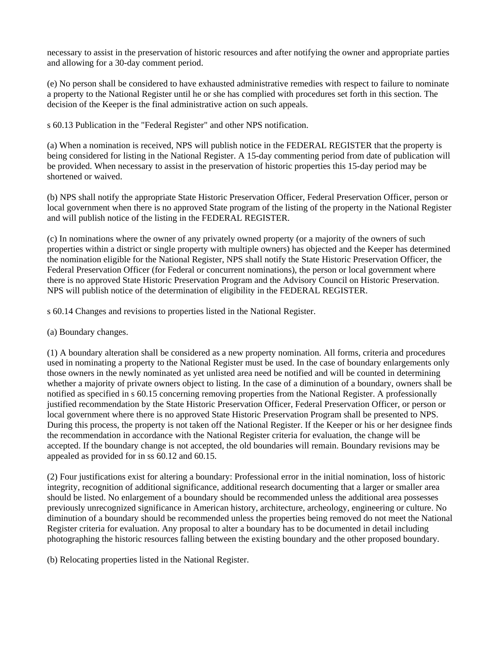necessary to assist in the preservation of historic resources and after notifying the owner and appropriate parties and allowing for a 30-day comment period.

(e) No person shall be considered to have exhausted administrative remedies with respect to failure to nominate a property to the National Register until he or she has complied with procedures set forth in this section. The decision of the Keeper is the final administrative action on such appeals.

s 60.13 Publication in the "Federal Register" and other NPS notification.

(a) When a nomination is received, NPS will publish notice in the FEDERAL REGISTER that the property is being considered for listing in the National Register. A 15-day commenting period from date of publication will be provided. When necessary to assist in the preservation of historic properties this 15-day period may be shortened or waived.

(b) NPS shall notify the appropriate State Historic Preservation Officer, Federal Preservation Officer, person or local government when there is no approved State program of the listing of the property in the National Register and will publish notice of the listing in the FEDERAL REGISTER.

(c) In nominations where the owner of any privately owned property (or a majority of the owners of such properties within a district or single property with multiple owners) has objected and the Keeper has determined the nomination eligible for the National Register, NPS shall notify the State Historic Preservation Officer, the Federal Preservation Officer (for Federal or concurrent nominations), the person or local government where there is no approved State Historic Preservation Program and the Advisory Council on Historic Preservation. NPS will publish notice of the determination of eligibility in the FEDERAL REGISTER.

s 60.14 Changes and revisions to properties listed in the National Register.

(a) Boundary changes.

(1) A boundary alteration shall be considered as a new property nomination. All forms, criteria and procedures used in nominating a property to the National Register must be used. In the case of boundary enlargements only those owners in the newly nominated as yet unlisted area need be notified and will be counted in determining whether a majority of private owners object to listing. In the case of a diminution of a boundary, owners shall be notified as specified in s 60.15 concerning removing properties from the National Register. A professionally justified recommendation by the State Historic Preservation Officer, Federal Preservation Officer, or person or local government where there is no approved State Historic Preservation Program shall be presented to NPS. During this process, the property is not taken off the National Register. If the Keeper or his or her designee finds the recommendation in accordance with the National Register criteria for evaluation, the change will be accepted. If the boundary change is not accepted, the old boundaries will remain. Boundary revisions may be appealed as provided for in ss 60.12 and 60.15.

(2) Four justifications exist for altering a boundary: Professional error in the initial nomination, loss of historic integrity, recognition of additional significance, additional research documenting that a larger or smaller area should be listed. No enlargement of a boundary should be recommended unless the additional area possesses previously unrecognized significance in American history, architecture, archeology, engineering or culture. No diminution of a boundary should be recommended unless the properties being removed do not meet the National Register criteria for evaluation. Any proposal to alter a boundary has to be documented in detail including photographing the historic resources falling between the existing boundary and the other proposed boundary.

(b) Relocating properties listed in the National Register.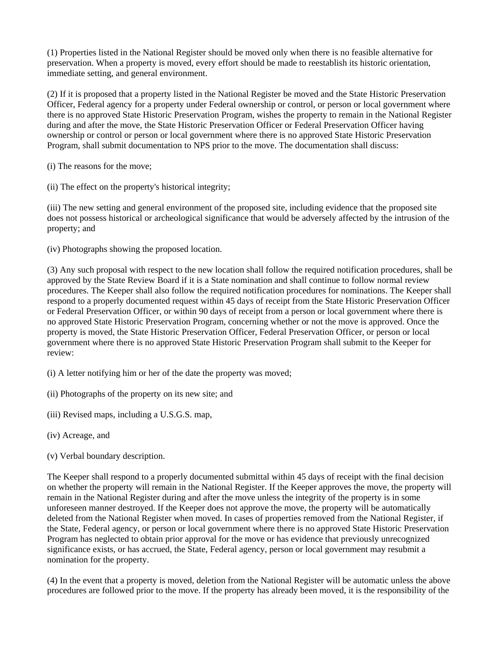(1) Properties listed in the National Register should be moved only when there is no feasible alternative for preservation. When a property is moved, every effort should be made to reestablish its historic orientation, immediate setting, and general environment.

(2) If it is proposed that a property listed in the National Register be moved and the State Historic Preservation Officer, Federal agency for a property under Federal ownership or control, or person or local government where there is no approved State Historic Preservation Program, wishes the property to remain in the National Register during and after the move, the State Historic Preservation Officer or Federal Preservation Officer having ownership or control or person or local government where there is no approved State Historic Preservation Program, shall submit documentation to NPS prior to the move. The documentation shall discuss:

(i) The reasons for the move;

(ii) The effect on the property's historical integrity;

(iii) The new setting and general environment of the proposed site, including evidence that the proposed site does not possess historical or archeological significance that would be adversely affected by the intrusion of the property; and

(iv) Photographs showing the proposed location.

(3) Any such proposal with respect to the new location shall follow the required notification procedures, shall be approved by the State Review Board if it is a State nomination and shall continue to follow normal review procedures. The Keeper shall also follow the required notification procedures for nominations. The Keeper shall respond to a properly documented request within 45 days of receipt from the State Historic Preservation Officer or Federal Preservation Officer, or within 90 days of receipt from a person or local government where there is no approved State Historic Preservation Program, concerning whether or not the move is approved. Once the property is moved, the State Historic Preservation Officer, Federal Preservation Officer, or person or local government where there is no approved State Historic Preservation Program shall submit to the Keeper for review:

(i) A letter notifying him or her of the date the property was moved;

- (ii) Photographs of the property on its new site; and
- (iii) Revised maps, including a U.S.G.S. map,
- (iv) Acreage, and
- (v) Verbal boundary description.

The Keeper shall respond to a properly documented submittal within 45 days of receipt with the final decision on whether the property will remain in the National Register. If the Keeper approves the move, the property will remain in the National Register during and after the move unless the integrity of the property is in some unforeseen manner destroyed. If the Keeper does not approve the move, the property will be automatically deleted from the National Register when moved. In cases of properties removed from the National Register, if the State, Federal agency, or person or local government where there is no approved State Historic Preservation Program has neglected to obtain prior approval for the move or has evidence that previously unrecognized significance exists, or has accrued, the State, Federal agency, person or local government may resubmit a nomination for the property.

(4) In the event that a property is moved, deletion from the National Register will be automatic unless the above procedures are followed prior to the move. If the property has already been moved, it is the responsibility of the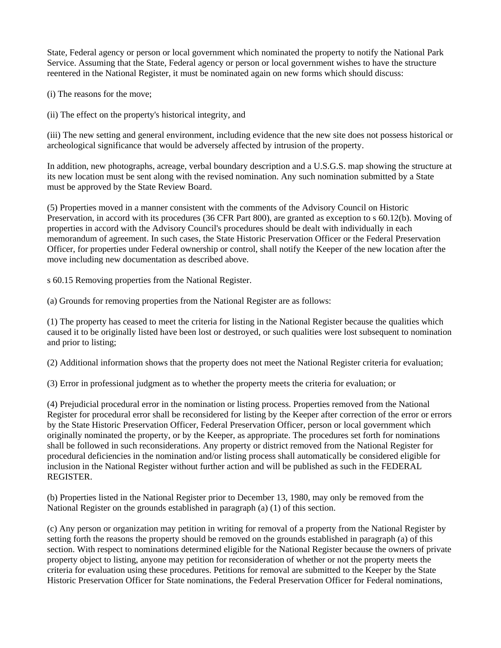State, Federal agency or person or local government which nominated the property to notify the National Park Service. Assuming that the State, Federal agency or person or local government wishes to have the structure reentered in the National Register, it must be nominated again on new forms which should discuss:

(i) The reasons for the move;

(ii) The effect on the property's historical integrity, and

(iii) The new setting and general environment, including evidence that the new site does not possess historical or archeological significance that would be adversely affected by intrusion of the property.

In addition, new photographs, acreage, verbal boundary description and a U.S.G.S. map showing the structure at its new location must be sent along with the revised nomination. Any such nomination submitted by a State must be approved by the State Review Board.

(5) Properties moved in a manner consistent with the comments of the Advisory Council on Historic Preservation, in accord with its procedures (36 CFR Part 800), are granted as exception to s 60.12(b). Moving of properties in accord with the Advisory Council's procedures should be dealt with individually in each memorandum of agreement. In such cases, the State Historic Preservation Officer or the Federal Preservation Officer, for properties under Federal ownership or control, shall notify the Keeper of the new location after the move including new documentation as described above.

s 60.15 Removing properties from the National Register.

(a) Grounds for removing properties from the National Register are as follows:

(1) The property has ceased to meet the criteria for listing in the National Register because the qualities which caused it to be originally listed have been lost or destroyed, or such qualities were lost subsequent to nomination and prior to listing;

(2) Additional information shows that the property does not meet the National Register criteria for evaluation;

(3) Error in professional judgment as to whether the property meets the criteria for evaluation; or

(4) Prejudicial procedural error in the nomination or listing process. Properties removed from the National Register for procedural error shall be reconsidered for listing by the Keeper after correction of the error or errors by the State Historic Preservation Officer, Federal Preservation Officer, person or local government which originally nominated the property, or by the Keeper, as appropriate. The procedures set forth for nominations shall be followed in such reconsiderations. Any property or district removed from the National Register for procedural deficiencies in the nomination and/or listing process shall automatically be considered eligible for inclusion in the National Register without further action and will be published as such in the FEDERAL REGISTER.

(b) Properties listed in the National Register prior to December 13, 1980, may only be removed from the National Register on the grounds established in paragraph (a) (1) of this section.

(c) Any person or organization may petition in writing for removal of a property from the National Register by setting forth the reasons the property should be removed on the grounds established in paragraph (a) of this section. With respect to nominations determined eligible for the National Register because the owners of private property object to listing, anyone may petition for reconsideration of whether or not the property meets the criteria for evaluation using these procedures. Petitions for removal are submitted to the Keeper by the State Historic Preservation Officer for State nominations, the Federal Preservation Officer for Federal nominations,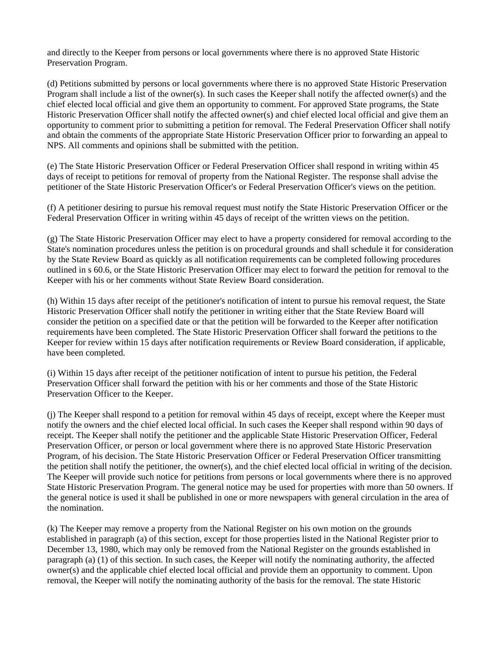and directly to the Keeper from persons or local governments where there is no approved State Historic Preservation Program.

(d) Petitions submitted by persons or local governments where there is no approved State Historic Preservation Program shall include a list of the owner(s). In such cases the Keeper shall notify the affected owner(s) and the chief elected local official and give them an opportunity to comment. For approved State programs, the State Historic Preservation Officer shall notify the affected owner(s) and chief elected local official and give them an opportunity to comment prior to submitting a petition for removal. The Federal Preservation Officer shall notify and obtain the comments of the appropriate State Historic Preservation Officer prior to forwarding an appeal to NPS. All comments and opinions shall be submitted with the petition.

(e) The State Historic Preservation Officer or Federal Preservation Officer shall respond in writing within 45 days of receipt to petitions for removal of property from the National Register. The response shall advise the petitioner of the State Historic Preservation Officer's or Federal Preservation Officer's views on the petition.

(f) A petitioner desiring to pursue his removal request must notify the State Historic Preservation Officer or the Federal Preservation Officer in writing within 45 days of receipt of the written views on the petition.

(g) The State Historic Preservation Officer may elect to have a property considered for removal according to the State's nomination procedures unless the petition is on procedural grounds and shall schedule it for consideration by the State Review Board as quickly as all notification requirements can be completed following procedures outlined in s 60.6, or the State Historic Preservation Officer may elect to forward the petition for removal to the Keeper with his or her comments without State Review Board consideration.

(h) Within 15 days after receipt of the petitioner's notification of intent to pursue his removal request, the State Historic Preservation Officer shall notify the petitioner in writing either that the State Review Board will consider the petition on a specified date or that the petition will be forwarded to the Keeper after notification requirements have been completed. The State Historic Preservation Officer shall forward the petitions to the Keeper for review within 15 days after notification requirements or Review Board consideration, if applicable, have been completed.

(i) Within 15 days after receipt of the petitioner notification of intent to pursue his petition, the Federal Preservation Officer shall forward the petition with his or her comments and those of the State Historic Preservation Officer to the Keeper.

(j) The Keeper shall respond to a petition for removal within 45 days of receipt, except where the Keeper must notify the owners and the chief elected local official. In such cases the Keeper shall respond within 90 days of receipt. The Keeper shall notify the petitioner and the applicable State Historic Preservation Officer, Federal Preservation Officer, or person or local government where there is no approved State Historic Preservation Program, of his decision. The State Historic Preservation Officer or Federal Preservation Officer transmitting the petition shall notify the petitioner, the owner(s), and the chief elected local official in writing of the decision. The Keeper will provide such notice for petitions from persons or local governments where there is no approved State Historic Preservation Program. The general notice may be used for properties with more than 50 owners. If the general notice is used it shall be published in one or more newspapers with general circulation in the area of the nomination.

(k) The Keeper may remove a property from the National Register on his own motion on the grounds established in paragraph (a) of this section, except for those properties listed in the National Register prior to December 13, 1980, which may only be removed from the National Register on the grounds established in paragraph (a) (1) of this section. In such cases, the Keeper will notify the nominating authority, the affected owner(s) and the applicable chief elected local official and provide them an opportunity to comment. Upon removal, the Keeper will notify the nominating authority of the basis for the removal. The state Historic